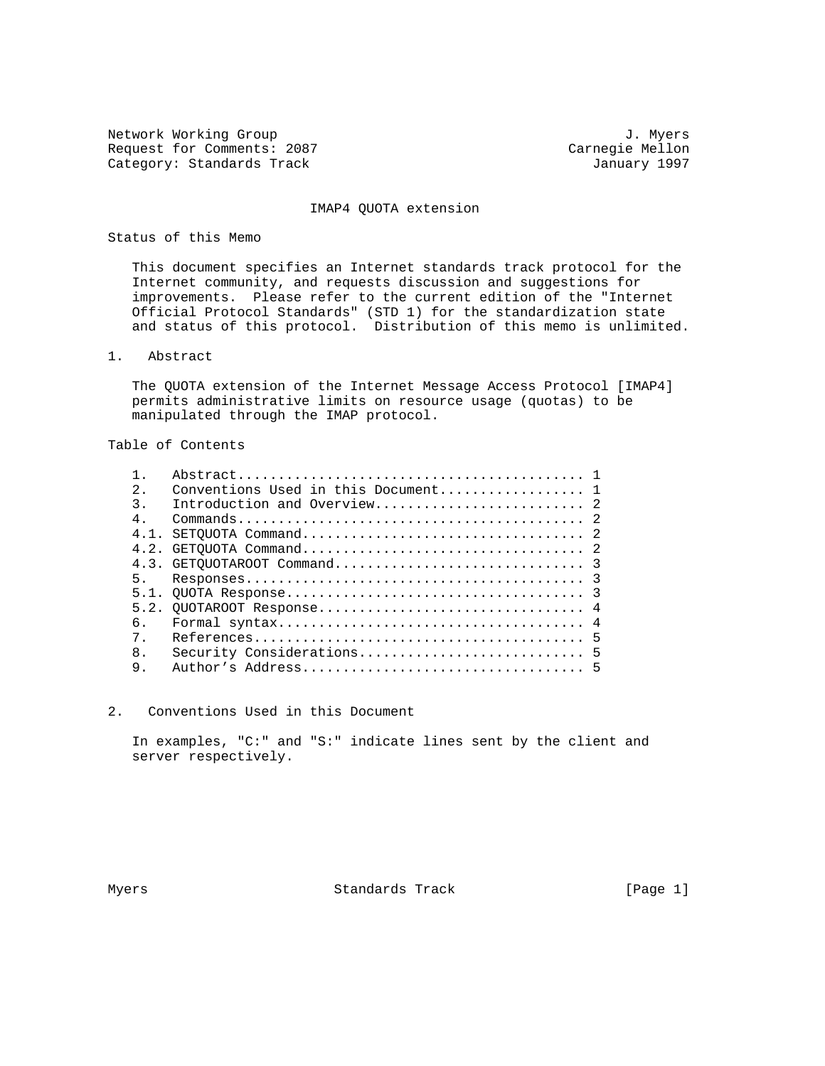Network Working Group 3. 2008 3. Myers 3. Myers 3. Myers 3. Myers 3. Myers 3. Myers 3. Myers 3. Myers 3. Myers Request for Comments: 2087 (Carnegie Mellon Carnegie Mellon Category: Standards Track Category: Standards Track

#### IMAP4 QUOTA extension

## Status of this Memo

 This document specifies an Internet standards track protocol for the Internet community, and requests discussion and suggestions for improvements. Please refer to the current edition of the "Internet Official Protocol Standards" (STD 1) for the standardization state and status of this protocol. Distribution of this memo is unlimited.

1. Abstract

 The QUOTA extension of the Internet Message Access Protocol [IMAP4] permits administrative limits on resource usage (quotas) to be manipulated through the IMAP protocol.

Table of Contents

| $2^{\circ}$      | Conventions Used in this Document 1 |  |
|------------------|-------------------------------------|--|
| $\overline{3}$ . |                                     |  |
| $4$ .            |                                     |  |
| 4.1              |                                     |  |
|                  |                                     |  |
|                  |                                     |  |
| 5 <sub>1</sub>   |                                     |  |
|                  |                                     |  |
|                  |                                     |  |
| б.               |                                     |  |
| $7$ .            |                                     |  |
| 8 <sub>1</sub>   |                                     |  |
| 9.               |                                     |  |
|                  |                                     |  |

2. Conventions Used in this Document

 In examples, "C:" and "S:" indicate lines sent by the client and server respectively.

Myers **Standards Track** [Page 1]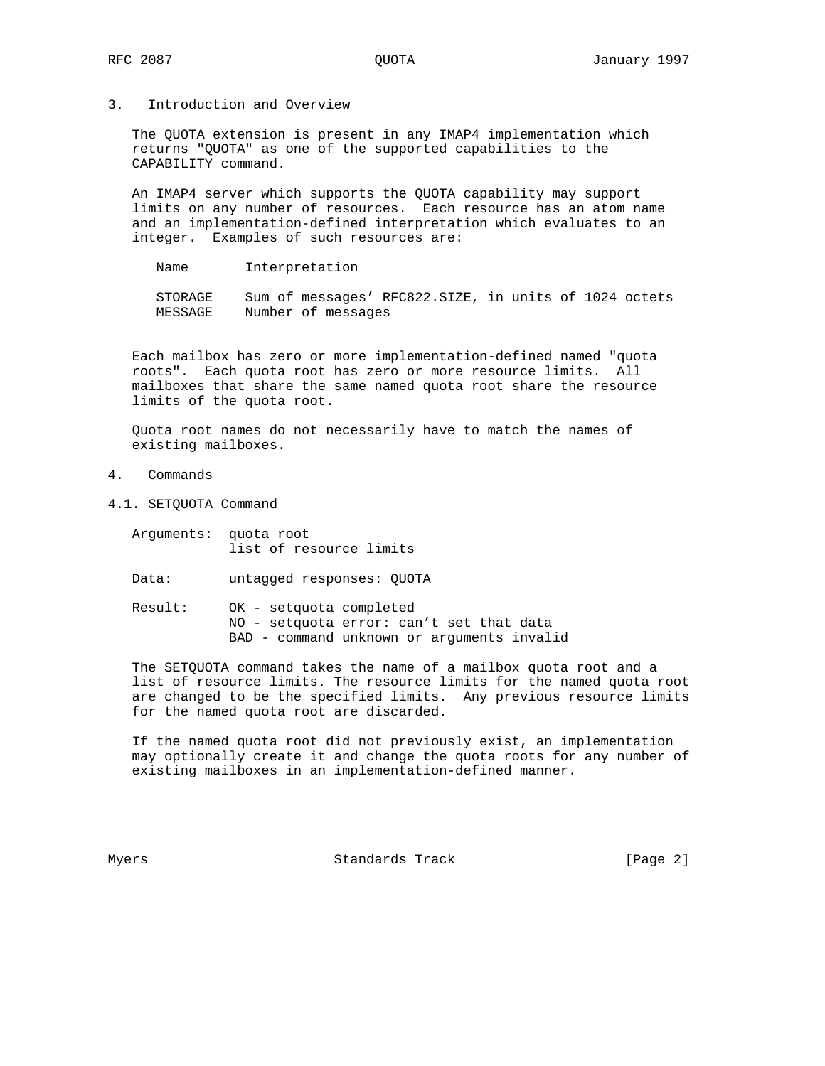3. Introduction and Overview

 The QUOTA extension is present in any IMAP4 implementation which returns "QUOTA" as one of the supported capabilities to the CAPABILITY command.

 An IMAP4 server which supports the QUOTA capability may support limits on any number of resources. Each resource has an atom name and an implementation-defined interpretation which evaluates to an integer. Examples of such resources are:

Name Interpretation

 STORAGE Sum of messages' RFC822.SIZE, in units of 1024 octets MESSAGE Number of messages

 Each mailbox has zero or more implementation-defined named "quota roots". Each quota root has zero or more resource limits. All mailboxes that share the same named quota root share the resource limits of the quota root.

 Quota root names do not necessarily have to match the names of existing mailboxes.

- 4. Commands
- 4.1. SETQUOTA Command
	- Arguments: quota root list of resource limits
	- Data: untagged responses: QUOTA
	- Result: OK setquota completed NO - setquota error: can't set that data BAD - command unknown or arguments invalid

 The SETQUOTA command takes the name of a mailbox quota root and a list of resource limits. The resource limits for the named quota root are changed to be the specified limits. Any previous resource limits for the named quota root are discarded.

 If the named quota root did not previously exist, an implementation may optionally create it and change the quota roots for any number of existing mailboxes in an implementation-defined manner.

Myers **Standards Track** [Page 2]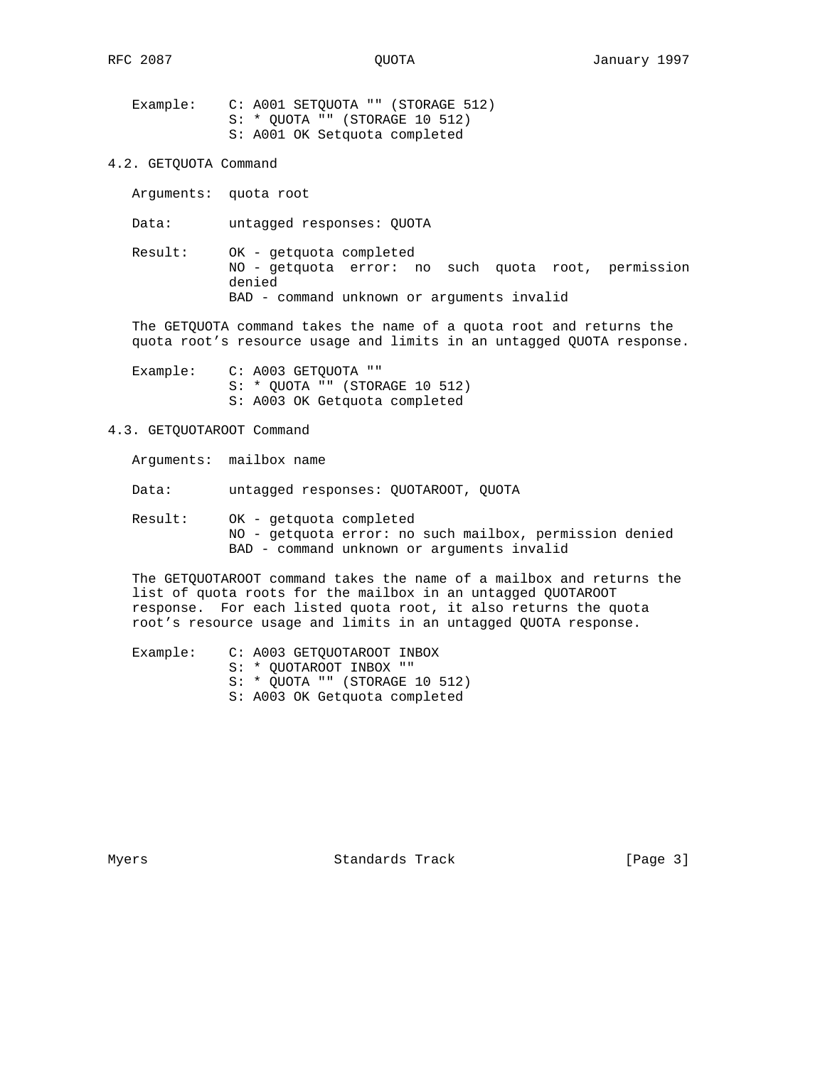Example: C: A001 SETQUOTA "" (STORAGE 512) S: \* QUOTA "" (STORAGE 10 512) S: A001 OK Setquota completed

- 4.2. GETQUOTA Command
	- Arguments: quota root

Data: untagged responses: QUOTA

 Result: OK - getquota completed NO - getquota error: no such quota root, permission denied BAD - command unknown or arguments invalid

 The GETQUOTA command takes the name of a quota root and returns the quota root's resource usage and limits in an untagged QUOTA response.

Example: C: A003 GETQUOTA "" S: \* QUOTA "" (STORAGE 10 512) S: A003 OK Getquota completed

# 4.3. GETQUOTAROOT Command

Arguments: mailbox name

Data: untagged responses: QUOTAROOT, QUOTA

 Result: OK - getquota completed NO - getquota error: no such mailbox, permission denied BAD - command unknown or arguments invalid

 The GETQUOTAROOT command takes the name of a mailbox and returns the list of quota roots for the mailbox in an untagged QUOTAROOT response. For each listed quota root, it also returns the quota root's resource usage and limits in an untagged QUOTA response.

 Example: C: A003 GETQUOTAROOT INBOX S: \* QUOTAROOT INBOX "" S: \* QUOTA "" (STORAGE 10 512) S: A003 OK Getquota completed

Myers **Standards Track** [Page 3]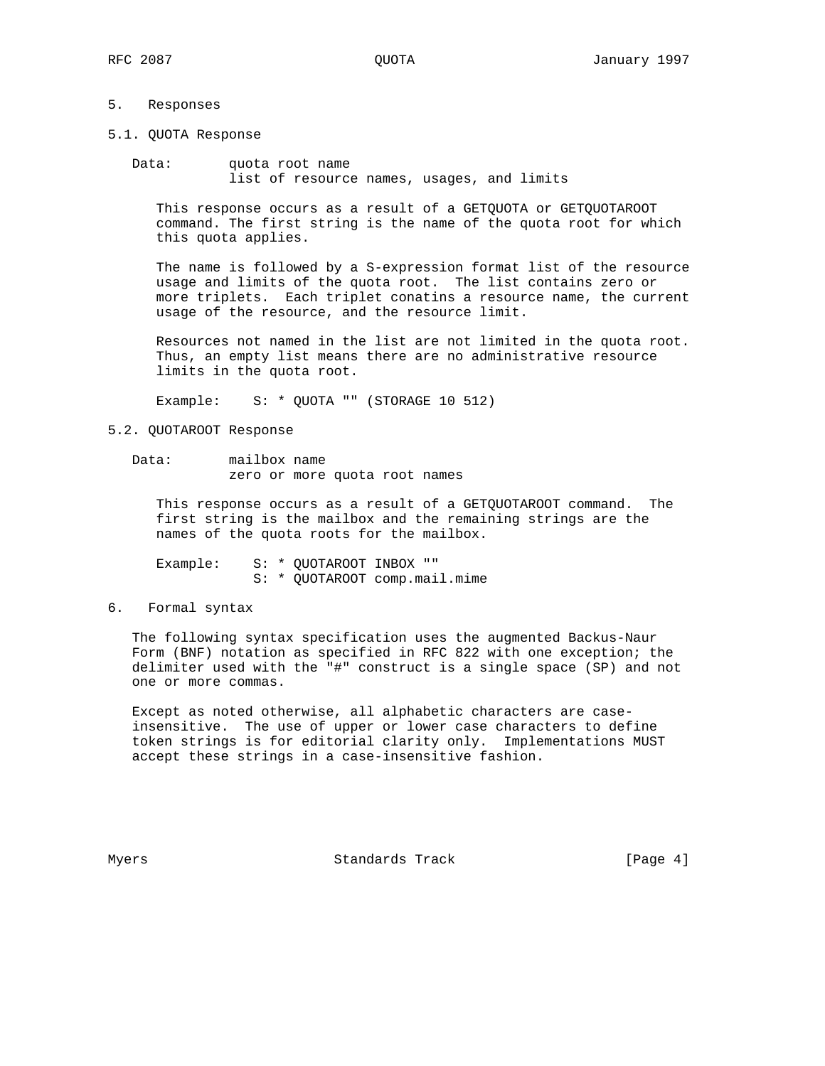## 5. Responses

5.1. QUOTA Response

 Data: quota root name list of resource names, usages, and limits

 This response occurs as a result of a GETQUOTA or GETQUOTAROOT command. The first string is the name of the quota root for which this quota applies.

 The name is followed by a S-expression format list of the resource usage and limits of the quota root. The list contains zero or more triplets. Each triplet conatins a resource name, the current usage of the resource, and the resource limit.

 Resources not named in the list are not limited in the quota root. Thus, an empty list means there are no administrative resource limits in the quota root.

Example: S: \* QUOTA "" (STORAGE 10 512)

#### 5.2. QUOTAROOT Response

 Data: mailbox name zero or more quota root names

 This response occurs as a result of a GETQUOTAROOT command. The first string is the mailbox and the remaining strings are the names of the quota roots for the mailbox.

Example: S: \* QUOTAROOT INBOX "" S: \* QUOTAROOT comp.mail.mime

## 6. Formal syntax

 The following syntax specification uses the augmented Backus-Naur Form (BNF) notation as specified in RFC 822 with one exception; the delimiter used with the "#" construct is a single space (SP) and not one or more commas.

 Except as noted otherwise, all alphabetic characters are case insensitive. The use of upper or lower case characters to define token strings is for editorial clarity only. Implementations MUST accept these strings in a case-insensitive fashion.

Myers **Standards Track** [Page 4]